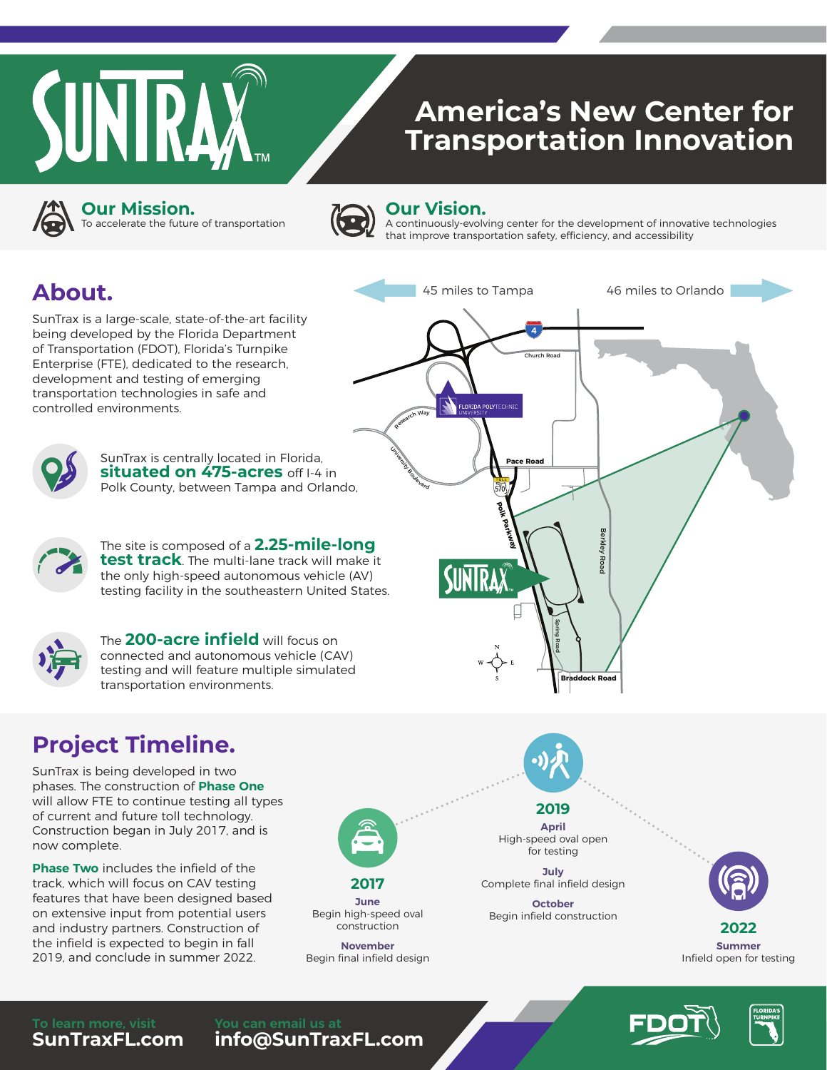

# **America's New Center for Transportation Innovation**



**Our Mission.**

To accelerate the future of transportation



#### **Our Vision.**

University Boulevard

570

FLORIDA POLYTECHN

**Polk Parkway**

**IRA** 

**Pace Road**

Research Way

A continuously-evolving center for the development of innovative technologies that improve transportation safety, efficiency, and accessibility

45 miles to Tampa 46 miles to Orlando

Church Road

4

## **About.**

SunTrax is a large-scale, state-of-the-art facility being developed by the Florida Department of Transportation (FDOT), Florida's Turnpike Enterprise (FTE), dedicated to the research, development and testing of emerging transportation technologies in safe and controlled environments.



SunTrax is centrally located in Florida, **situated on 475-acres** off I-4 in Polk County, between Tampa and Orlando,



The site is composed of a **2.25-mile-long test track**. The multi-lane track will make it the only high-speed autonomous vehicle (AV) testing facility in the southeastern United States.



The **200-acre infield** will focus on connected and autonomous vehicle (CAV) testing and will feature multiple simulated transportation environments.

# **Project Timeline.**

SunTrax is being developed in two phases. The construction of **Phase One** will allow FTE to continue testing all types of current and future toll technology. Construction began in July 2017, and is now complete.

**Phase Two** includes the infield of the track, which will focus on CAV testing features that have been designed based on extensive input from potential users and industry partners. Construction of the infield is expected to begin in fall 2019, and conclude in summer 2022.

**SunTraxFL.com**



**June** Begin high-speed oval construction

**November** Begin final infield design **2019 April**

High-speed oval open for testing

Spring Road

**Braddock Road**

Berkley Road

егкіеу Road

**July** Complete final infield design

**October** Begin infield construction



**2022 Summer** Infield open for testing





**info@SunTraxFL.com**